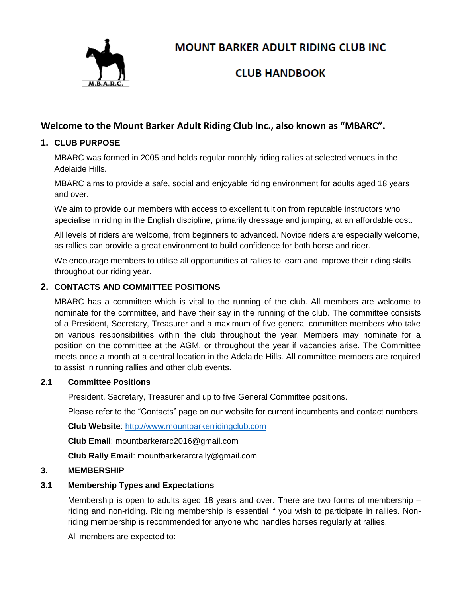

**MOUNT BARKER ADULT RIDING CLUB INC** 

# **CLUB HANDBOOK**

## **Welcome to the Mount Barker Adult Riding Club Inc., also known as "MBARC".**

## **1. CLUB PURPOSE**

MBARC was formed in 2005 and holds regular monthly riding rallies at selected venues in the Adelaide Hills.

MBARC aims to provide a safe, social and enjoyable riding environment for adults aged 18 years and over.

We aim to provide our members with access to excellent tuition from reputable instructors who specialise in riding in the English discipline, primarily dressage and jumping, at an affordable cost.

All levels of riders are welcome, from beginners to advanced. Novice riders are especially welcome, as rallies can provide a great environment to build confidence for both horse and rider.

We encourage members to utilise all opportunities at rallies to learn and improve their riding skills throughout our riding year.

## **2. CONTACTS AND COMMITTEE POSITIONS**

MBARC has a committee which is vital to the running of the club. All members are welcome to nominate for the committee, and have their say in the running of the club. The committee consists of a President, Secretary, Treasurer and a maximum of five general committee members who take on various responsibilities within the club throughout the year. Members may nominate for a position on the committee at the AGM, or throughout the year if vacancies arise. The Committee meets once a month at a central location in the Adelaide Hills. All committee members are required to assist in running rallies and other club events.

## **2.1 Committee Positions**

President, Secretary, Treasurer and up to five General Committee positions.

Please refer to the "Contacts" page on our website for current incumbents and contact numbers.

**Club Website**: [http://www.mountbarkerridingclub.com](http://www.mountbarkerridingclub.com/)

**Club Email**: mountbarkerarc2016@gmail.com

**Club Rally Email**: mountbarkerarcrally@gmail.com

#### **3. MEMBERSHIP**

## **3.1 Membership Types and Expectations**

Membership is open to adults aged 18 years and over. There are two forms of membership – riding and non-riding. Riding membership is essential if you wish to participate in rallies. Nonriding membership is recommended for anyone who handles horses regularly at rallies.

All members are expected to: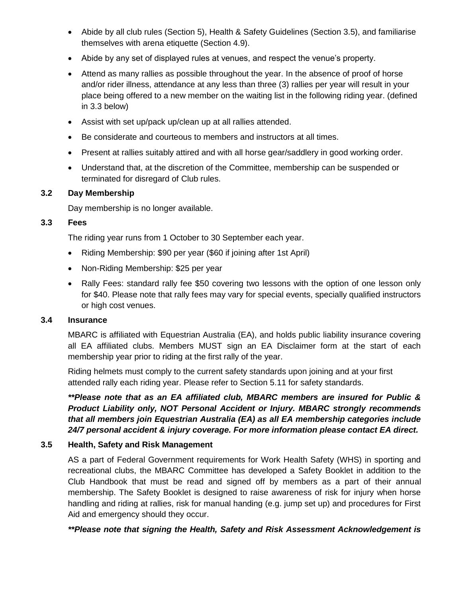- Abide by all club rules (Section 5), Health & Safety Guidelines (Section 3.5), and familiarise themselves with arena etiquette (Section 4.9).
- Abide by any set of displayed rules at venues, and respect the venue's property.
- Attend as many rallies as possible throughout the year. In the absence of proof of horse and/or rider illness, attendance at any less than three (3) rallies per year will result in your place being offered to a new member on the waiting list in the following riding year. (defined in 3.3 below)
- Assist with set up/pack up/clean up at all rallies attended.
- Be considerate and courteous to members and instructors at all times.
- Present at rallies suitably attired and with all horse gear/saddlery in good working order.
- Understand that, at the discretion of the Committee, membership can be suspended or terminated for disregard of Club rules.

#### **3.2 Day Membership**

Day membership is no longer available.

#### **3.3 Fees**

The riding year runs from 1 October to 30 September each year.

- Riding Membership: \$90 per year (\$60 if joining after 1st April)
- Non-Riding Membership: \$25 per year
- Rally Fees: standard rally fee \$50 covering two lessons with the option of one lesson only for \$40. Please note that rally fees may vary for special events, specially qualified instructors or high cost venues.

#### **3.4 Insurance**

MBARC is affiliated with Equestrian Australia (EA), and holds public liability insurance covering all EA affiliated clubs. Members MUST sign an EA Disclaimer form at the start of each membership year prior to riding at the first rally of the year.

Riding helmets must comply to the current safety standards upon joining and at your first attended rally each riding year. Please refer to Section 5.11 for safety standards.

*\*\*Please note that as an EA affiliated club, MBARC members are insured for Public & Product Liability only, NOT Personal Accident or Injury. MBARC strongly recommends that all members join Equestrian Australia (EA) as all EA membership categories include 24/7 personal accident & injury coverage. For more information please contact EA direct.*

#### **3.5 Health, Safety and Risk Management**

AS a part of Federal Government requirements for Work Health Safety (WHS) in sporting and recreational clubs, the MBARC Committee has developed a Safety Booklet in addition to the Club Handbook that must be read and signed off by members as a part of their annual membership. The Safety Booklet is designed to raise awareness of risk for injury when horse handling and riding at rallies, risk for manual handing (e.g. jump set up) and procedures for First Aid and emergency should they occur.

*\*\*Please note that signing the Health, Safety and Risk Assessment Acknowledgement is*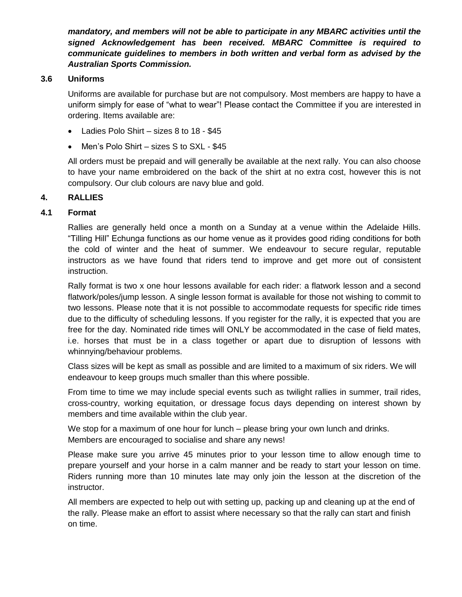*mandatory, and members will not be able to participate in any MBARC activities until the signed Acknowledgement has been received. MBARC Committee is required to communicate guidelines to members in both written and verbal form as advised by the Australian Sports Commission.*

#### **3.6 Uniforms**

Uniforms are available for purchase but are not compulsory. Most members are happy to have a uniform simply for ease of "what to wear"! Please contact the Committee if you are interested in ordering. Items available are:

- Ladies Polo Shirt sizes 8 to 18 \$45
- Men's Polo Shirt sizes S to SXL \$45

All orders must be prepaid and will generally be available at the next rally. You can also choose to have your name embroidered on the back of the shirt at no extra cost, however this is not compulsory. Our club colours are navy blue and gold.

#### **4. RALLIES**

#### **4.1 Format**

Rallies are generally held once a month on a Sunday at a venue within the Adelaide Hills. "Tilling Hill" Echunga functions as our home venue as it provides good riding conditions for both the cold of winter and the heat of summer. We endeavour to secure regular, reputable instructors as we have found that riders tend to improve and get more out of consistent instruction.

Rally format is two x one hour lessons available for each rider: a flatwork lesson and a second flatwork/poles/jump lesson. A single lesson format is available for those not wishing to commit to two lessons. Please note that it is not possible to accommodate requests for specific ride times due to the difficulty of scheduling lessons. If you register for the rally, it is expected that you are free for the day. Nominated ride times will ONLY be accommodated in the case of field mates, i.e. horses that must be in a class together or apart due to disruption of lessons with whinnying/behaviour problems.

Class sizes will be kept as small as possible and are limited to a maximum of six riders. We will endeavour to keep groups much smaller than this where possible.

From time to time we may include special events such as twilight rallies in summer, trail rides, cross-country, working equitation, or dressage focus days depending on interest shown by members and time available within the club year.

We stop for a maximum of one hour for lunch – please bring your own lunch and drinks. Members are encouraged to socialise and share any news!

Please make sure you arrive 45 minutes prior to your lesson time to allow enough time to prepare yourself and your horse in a calm manner and be ready to start your lesson on time. Riders running more than 10 minutes late may only join the lesson at the discretion of the instructor.

All members are expected to help out with setting up, packing up and cleaning up at the end of the rally. Please make an effort to assist where necessary so that the rally can start and finish on time.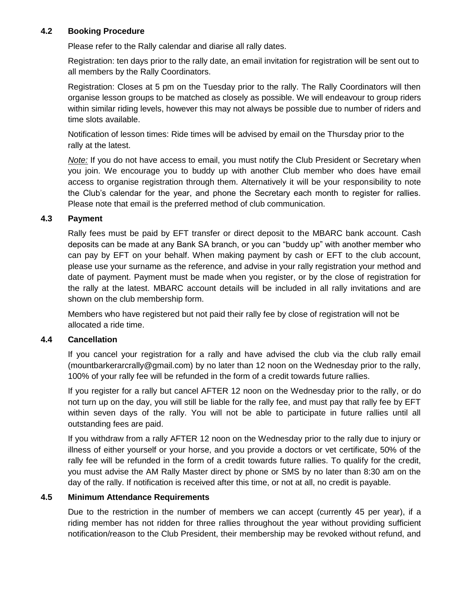#### **4.2 Booking Procedure**

Please refer to the Rally calendar and diarise all rally dates.

Registration: ten days prior to the rally date, an email invitation for registration will be sent out to all members by the Rally Coordinators.

Registration: Closes at 5 pm on the Tuesday prior to the rally. The Rally Coordinators will then organise lesson groups to be matched as closely as possible. We will endeavour to group riders within similar riding levels, however this may not always be possible due to number of riders and time slots available.

Notification of lesson times: Ride times will be advised by email on the Thursday prior to the rally at the latest.

*Note:* If you do not have access to email, you must notify the Club President or Secretary when you join. We encourage you to buddy up with another Club member who does have email access to organise registration through them. Alternatively it will be your responsibility to note the Club's calendar for the year, and phone the Secretary each month to register for rallies. Please note that email is the preferred method of club communication.

#### **4.3 Payment**

Rally fees must be paid by EFT transfer or direct deposit to the MBARC bank account. Cash deposits can be made at any Bank SA branch, or you can "buddy up" with another member who can pay by EFT on your behalf. When making payment by cash or EFT to the club account, please use your surname as the reference, and advise in your rally registration your method and date of payment. Payment must be made when you register, or by the close of registration for the rally at the latest. MBARC account details will be included in all rally invitations and are shown on the club membership form.

Members who have registered but not paid their rally fee by close of registration will not be allocated a ride time.

## **4.4 Cancellation**

If you cancel your registration for a rally and have advised the club via the club rally email (mountbarkerarcrally@gmail.com) by no later than 12 noon on the Wednesday prior to the rally, 100% of your rally fee will be refunded in the form of a credit towards future rallies.

If you register for a rally but cancel AFTER 12 noon on the Wednesday prior to the rally, or do not turn up on the day, you will still be liable for the rally fee, and must pay that rally fee by EFT within seven days of the rally. You will not be able to participate in future rallies until all outstanding fees are paid.

If you withdraw from a rally AFTER 12 noon on the Wednesday prior to the rally due to injury or illness of either yourself or your horse, and you provide a doctors or vet certificate, 50% of the rally fee will be refunded in the form of a credit towards future rallies. To qualify for the credit, you must advise the AM Rally Master direct by phone or SMS by no later than 8:30 am on the day of the rally. If notification is received after this time, or not at all, no credit is payable.

#### **4.5 Minimum Attendance Requirements**

Due to the restriction in the number of members we can accept (currently 45 per year), if a riding member has not ridden for three rallies throughout the year without providing sufficient notification/reason to the Club President, their membership may be revoked without refund, and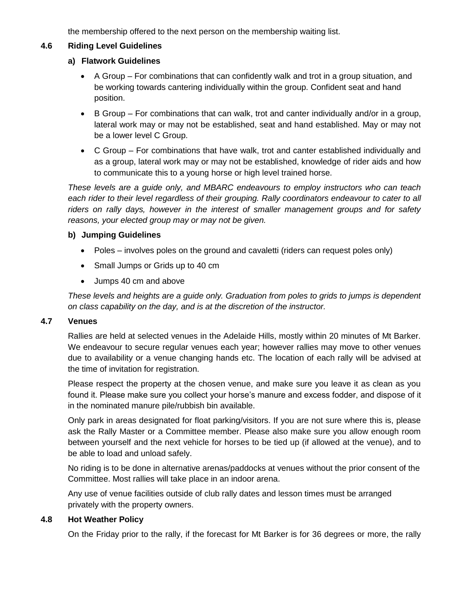the membership offered to the next person on the membership waiting list.

#### **4.6 Riding Level Guidelines**

#### **a) Flatwork Guidelines**

- A Group For combinations that can confidently walk and trot in a group situation, and be working towards cantering individually within the group. Confident seat and hand position.
- B Group For combinations that can walk, trot and canter individually and/or in a group, lateral work may or may not be established, seat and hand established. May or may not be a lower level C Group.
- C Group For combinations that have walk, trot and canter established individually and as a group, lateral work may or may not be established, knowledge of rider aids and how to communicate this to a young horse or high level trained horse.

*These levels are a guide only, and MBARC endeavours to employ instructors who can teach each rider to their level regardless of their grouping. Rally coordinators endeavour to cater to all riders on rally days, however in the interest of smaller management groups and for safety reasons, your elected group may or may not be given.*

#### **b) Jumping Guidelines**

- Poles involves poles on the ground and cavaletti (riders can request poles only)
- Small Jumps or Grids up to 40 cm
- Jumps 40 cm and above

*These levels and heights are a guide only. Graduation from poles to grids to jumps is dependent on class capability on the day, and is at the discretion of the instructor.*

#### **4.7 Venues**

Rallies are held at selected venues in the Adelaide Hills, mostly within 20 minutes of Mt Barker. We endeavour to secure regular venues each year; however rallies may move to other venues due to availability or a venue changing hands etc. The location of each rally will be advised at the time of invitation for registration.

Please respect the property at the chosen venue, and make sure you leave it as clean as you found it. Please make sure you collect your horse's manure and excess fodder, and dispose of it in the nominated manure pile/rubbish bin available.

Only park in areas designated for float parking/visitors. If you are not sure where this is, please ask the Rally Master or a Committee member. Please also make sure you allow enough room between yourself and the next vehicle for horses to be tied up (if allowed at the venue), and to be able to load and unload safely.

No riding is to be done in alternative arenas/paddocks at venues without the prior consent of the Committee. Most rallies will take place in an indoor arena.

Any use of venue facilities outside of club rally dates and lesson times must be arranged privately with the property owners.

## **4.8 Hot Weather Policy**

On the Friday prior to the rally, if the forecast for Mt Barker is for 36 degrees or more, the rally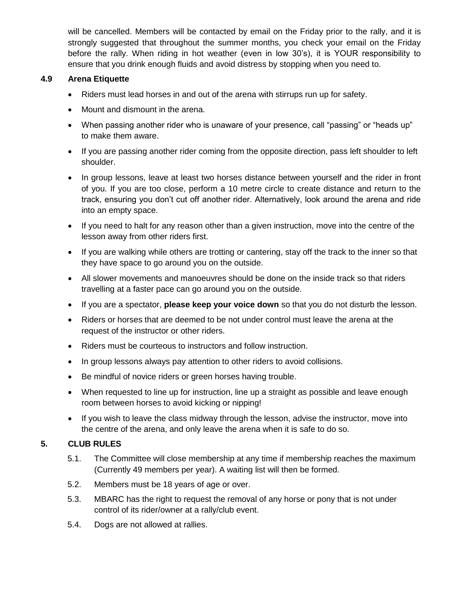will be cancelled. Members will be contacted by email on the Friday prior to the rally, and it is strongly suggested that throughout the summer months, you check your email on the Friday before the rally. When riding in hot weather (even in low 30's), it is YOUR responsibility to ensure that you drink enough fluids and avoid distress by stopping when you need to.

### **4.9 Arena Etiquette**

- Riders must lead horses in and out of the arena with stirrups run up for safety.
- Mount and dismount in the arena.
- When passing another rider who is unaware of your presence, call "passing" or "heads up" to make them aware.
- If you are passing another rider coming from the opposite direction, pass left shoulder to left shoulder.
- In group lessons, leave at least two horses distance between yourself and the rider in front of you. If you are too close, perform a 10 metre circle to create distance and return to the track, ensuring you don't cut off another rider. Alternatively, look around the arena and ride into an empty space.
- If you need to halt for any reason other than a given instruction, move into the centre of the lesson away from other riders first.
- If you are walking while others are trotting or cantering, stay off the track to the inner so that they have space to go around you on the outside.
- All slower movements and manoeuvres should be done on the inside track so that riders travelling at a faster pace can go around you on the outside.
- If you are a spectator, **please keep your voice down** so that you do not disturb the lesson.
- Riders or horses that are deemed to be not under control must leave the arena at the request of the instructor or other riders.
- Riders must be courteous to instructors and follow instruction.
- In group lessons always pay attention to other riders to avoid collisions.
- Be mindful of novice riders or green horses having trouble.
- When requested to line up for instruction, line up a straight as possible and leave enough room between horses to avoid kicking or nipping!
- If you wish to leave the class midway through the lesson, advise the instructor, move into the centre of the arena, and only leave the arena when it is safe to do so.

## **5. CLUB RULES**

- 5.1. The Committee will close membership at any time if membership reaches the maximum (Currently 49 members per year). A waiting list will then be formed.
- 5.2. Members must be 18 years of age or over.
- 5.3. MBARC has the right to request the removal of any horse or pony that is not under control of its rider/owner at a rally/club event.
- 5.4. Dogs are not allowed at rallies.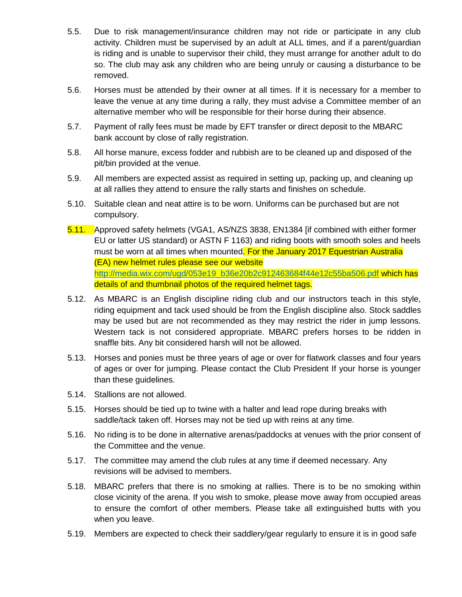- 5.5. Due to risk management/insurance children may not ride or participate in any club activity. Children must be supervised by an adult at ALL times, and if a parent/guardian is riding and is unable to supervisor their child, they must arrange for another adult to do so. The club may ask any children who are being unruly or causing a disturbance to be removed.
- 5.6. Horses must be attended by their owner at all times. If it is necessary for a member to leave the venue at any time during a rally, they must advise a Committee member of an alternative member who will be responsible for their horse during their absence.
- 5.7. Payment of rally fees must be made by EFT transfer or direct deposit to the MBARC bank account by close of rally registration.
- 5.8. All horse manure, excess fodder and rubbish are to be cleaned up and disposed of the pit/bin provided at the venue.
- 5.9. All members are expected assist as required in setting up, packing up, and cleaning up at all rallies they attend to ensure the rally starts and finishes on schedule.
- 5.10. Suitable clean and neat attire is to be worn. Uniforms can be purchased but are not compulsory.
- 5.11. Approved safety helmets (VGA1, AS/NZS 3838, EN1384 [if combined with either former EU or latter US standard) or ASTN F 1163) and riding boots with smooth soles and heels must be worn at all times when mounted. For the January 2017 Equestrian Australia (EA) new helmet rules please see our website [http://media.wix.com/ugd/053e19\\_b36e20b2c912463684f44e12c55ba506.pdf](http://media.wix.com/ugd/053e19_b36e20b2c912463684f44e12c55ba506.pdf) which has details of and thumbnail photos of the required helmet tags.
- 5.12. As MBARC is an English discipline riding club and our instructors teach in this style, riding equipment and tack used should be from the English discipline also. Stock saddles may be used but are not recommended as they may restrict the rider in jump lessons. Western tack is not considered appropriate. MBARC prefers horses to be ridden in snaffle bits. Any bit considered harsh will not be allowed.
- 5.13. Horses and ponies must be three years of age or over for flatwork classes and four years of ages or over for jumping. Please contact the Club President If your horse is younger than these guidelines.
- 5.14. Stallions are not allowed.
- 5.15. Horses should be tied up to twine with a halter and lead rope during breaks with saddle/tack taken off. Horses may not be tied up with reins at any time.
- 5.16. No riding is to be done in alternative arenas/paddocks at venues with the prior consent of the Committee and the venue.
- 5.17. The committee may amend the club rules at any time if deemed necessary. Any revisions will be advised to members.
- 5.18. MBARC prefers that there is no smoking at rallies. There is to be no smoking within close vicinity of the arena. If you wish to smoke, please move away from occupied areas to ensure the comfort of other members. Please take all extinguished butts with you when you leave.
- 5.19. Members are expected to check their saddlery/gear regularly to ensure it is in good safe